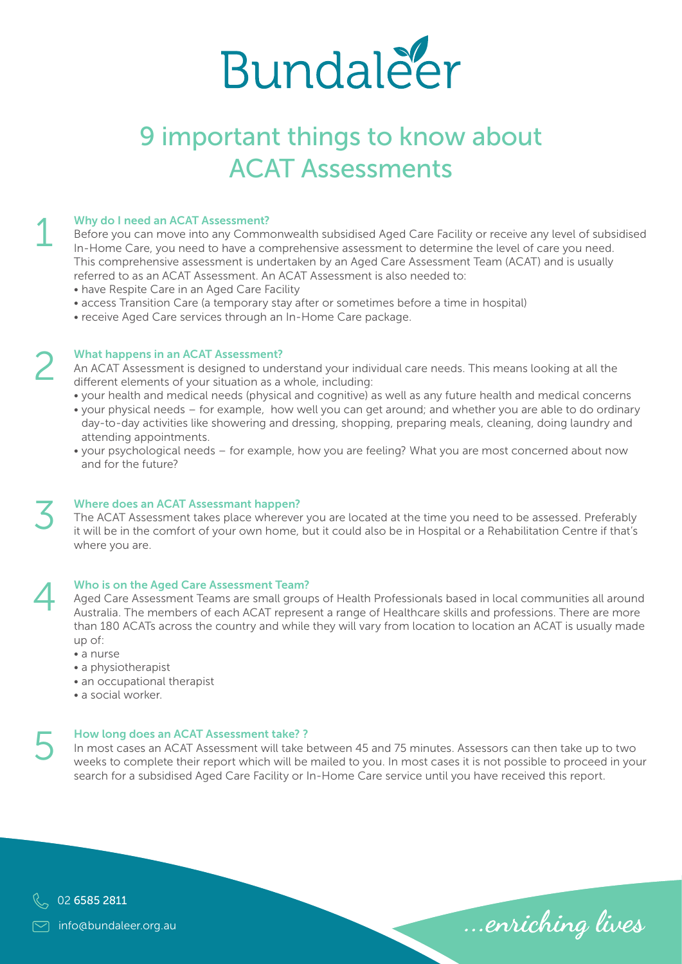

# 9 important things to know about ACAT Assessments

# Why do I need an ACAT Assessment? 1

Before you can move into any Commonwealth subsidised Aged Care Facility or receive any level of subsidised In-Home Care, you need to have a comprehensive assessment to determine the level of care you need. This comprehensive assessment is undertaken by an Aged Care Assessment Team (ACAT) and is usually referred to as an ACAT Assessment. An ACAT Assessment is also needed to:

- have Respite Care in an Aged Care Facility
- access Transition Care (a temporary stay after or sometimes before a time in hospital)
- receive Aged Care services through an In-Home Care package.

## What happens in an ACAT Assessment?

An ACAT Assessment is designed to understand your individual care needs. This means looking at all the different elements of your situation as a whole, including:

- your health and medical needs (physical and cognitive) as well as any future health and medical concerns • your physical needs – for example, how well you can get around; and whether you are able to do ordinary
- day-to-day activities like showering and dressing, shopping, preparing meals, cleaning, doing laundry and attending appointments.
- your psychological needs for example, how you are feeling? What you are most concerned about now and for the future?



4

### Where does an ACAT Assessmant happen?

The ACAT Assessment takes place wherever you are located at the time you need to be assessed. Preferably it will be in the comfort of your own home, but it could also be in Hospital or a Rehabilitation Centre if that's where you are.

### Who is on the Aged Care Assessment Team?

Aged Care Assessment Teams are small groups of Health Professionals based in local communities all around Australia. The members of each ACAT represent a range of Healthcare skills and professions. There are more than 180 ACATs across the country and while they will vary from location to location an ACAT is usually made up of:

- a nurse
- a physiotherapist
- an occupational therapist
- a social worker.

# How long does an ACAT Assessment take? ? 5

In most cases an ACAT Assessment will take between 45 and 75 minutes. Assessors can then take up to two weeks to complete their report which will be mailed to you. In most cases it is not possible to proceed in your search for a subsidised Aged Care Facility or In-Home Care service until you have received this report.

…enriching lives



info@bundaleer.org.au